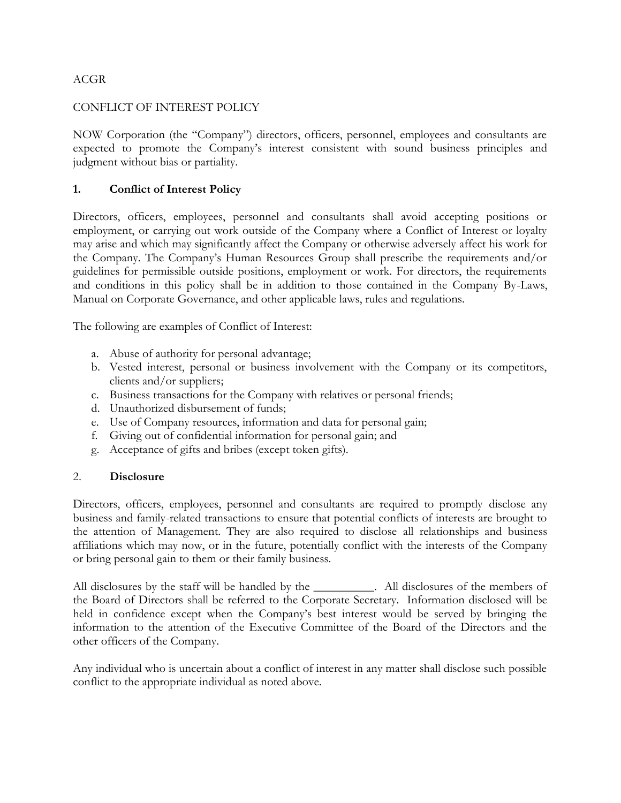## ACGR

### CONFLICT OF INTEREST POLICY

NOW Corporation (the "Company") directors, officers, personnel, employees and consultants are expected to promote the Company's interest consistent with sound business principles and judgment without bias or partiality.

# **1. Conflict of Interest Policy**

Directors, officers, employees, personnel and consultants shall avoid accepting positions or employment, or carrying out work outside of the Company where a Conflict of Interest or loyalty may arise and which may significantly affect the Company or otherwise adversely affect his work for the Company. The Company's Human Resources Group shall prescribe the requirements and/or guidelines for permissible outside positions, employment or work. For directors, the requirements and conditions in this policy shall be in addition to those contained in the Company By-Laws, Manual on Corporate Governance, and other applicable laws, rules and regulations.

The following are examples of Conflict of Interest:

- a. Abuse of authority for personal advantage;
- b. Vested interest, personal or business involvement with the Company or its competitors, clients and/or suppliers;
- c. Business transactions for the Company with relatives or personal friends;
- d. Unauthorized disbursement of funds;
- e. Use of Company resources, information and data for personal gain;
- f. Giving out of confidential information for personal gain; and
- g. Acceptance of gifts and bribes (except token gifts).

#### 2. **Disclosure**

Directors, officers, employees, personnel and consultants are required to promptly disclose any business and family-related transactions to ensure that potential conflicts of interests are brought to the attention of Management. They are also required to disclose all relationships and business affiliations which may now, or in the future, potentially conflict with the interests of the Company or bring personal gain to them or their family business.

All disclosures by the staff will be handled by the \_\_\_\_\_\_\_\_\_\_. All disclosures of the members of the Board of Directors shall be referred to the Corporate Secretary. Information disclosed will be held in confidence except when the Company's best interest would be served by bringing the information to the attention of the Executive Committee of the Board of the Directors and the other officers of the Company.

Any individual who is uncertain about a conflict of interest in any matter shall disclose such possible conflict to the appropriate individual as noted above.